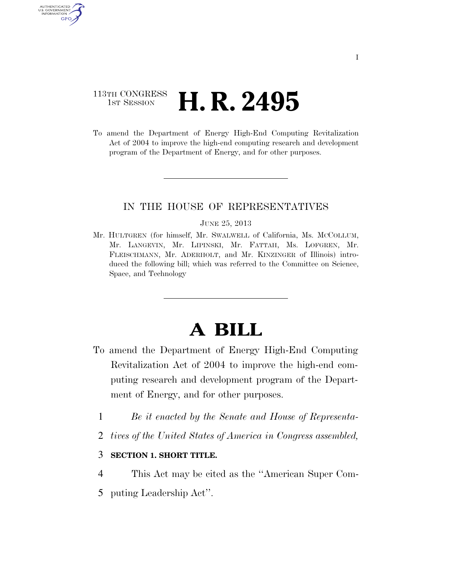## 113TH CONGRESS **HE CONGRESS H. R. 2495**

AUTHENTICATED<br>U.S. GOVERNMENT<br>INFORMATION GPO

> To amend the Department of Energy High-End Computing Revitalization Act of 2004 to improve the high-end computing research and development program of the Department of Energy, and for other purposes.

### IN THE HOUSE OF REPRESENTATIVES

#### JUNE 25, 2013

Mr. HULTGREN (for himself, Mr. SWALWELL of California, Ms. MCCOLLUM, Mr. LANGEVIN, Mr. LIPINSKI, Mr. FATTAH, Ms. LOFGREN, Mr. FLEISCHMANN, Mr. ADERHOLT, and Mr. KINZINGER of Illinois) introduced the following bill; which was referred to the Committee on Science, Space, and Technology

# **A BILL**

- To amend the Department of Energy High-End Computing Revitalization Act of 2004 to improve the high-end computing research and development program of the Department of Energy, and for other purposes.
	- 1 *Be it enacted by the Senate and House of Representa-*
	- 2 *tives of the United States of America in Congress assembled,*

### 3 **SECTION 1. SHORT TITLE.**

- 4 This Act may be cited as the ''American Super Com-
- 5 puting Leadership Act''.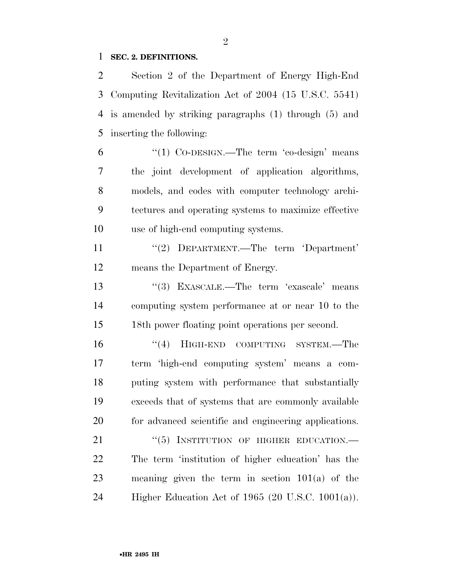### **SEC. 2. DEFINITIONS.**

 Section 2 of the Department of Energy High-End Computing Revitalization Act of 2004 (15 U.S.C. 5541) is amended by striking paragraphs (1) through (5) and inserting the following:

 "(1) Co-DESIGN.—The term 'co-design' means the joint development of application algorithms, models, and codes with computer technology archi- tectures and operating systems to maximize effective use of high-end computing systems.

11 "(2) DEPARTMENT.—The term 'Department' means the Department of Energy.

13 ''(3) EXASCALE.—The term 'exascale' means computing system performance at or near 10 to the 18th power floating point operations per second.

16 "(4) HIGH-END COMPUTING SYSTEM.—The term 'high-end computing system' means a com- puting system with performance that substantially exceeds that of systems that are commonly available for advanced scientific and engineering applications.

21 "(5) INSTITUTION OF HIGHER EDUCATION.— The term 'institution of higher education' has the meaning given the term in section 101(a) of the Higher Education Act of 1965 (20 U.S.C. 1001(a)).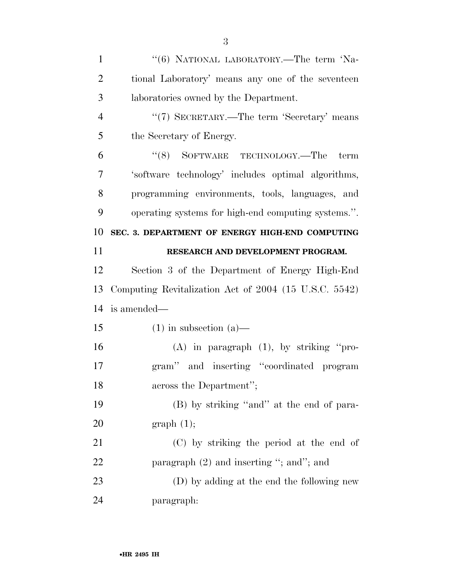| 1              | "(6) NATIONAL LABORATORY.—The term 'Na-               |
|----------------|-------------------------------------------------------|
| $\overline{2}$ | tional Laboratory' means any one of the seventeen     |
| 3              | laboratories owned by the Department.                 |
| $\overline{4}$ | "(7) SECRETARY.—The term 'Secretary' means            |
| 5              | the Secretary of Energy.                              |
| 6              | "(8) SOFTWARE TECHNOLOGY.—The<br>term                 |
| $\overline{7}$ | 'software technology' includes optimal algorithms,    |
| 8              | programming environments, tools, languages, and       |
| 9              | operating systems for high-end computing systems.".   |
| 10             | SEC. 3. DEPARTMENT OF ENERGY HIGH-END COMPUTING       |
| 11             | RESEARCH AND DEVELOPMENT PROGRAM.                     |
| 12             | Section 3 of the Department of Energy High-End        |
| 13             | Computing Revitalization Act of 2004 (15 U.S.C. 5542) |
| 14             | is amended—                                           |
|                |                                                       |
| 15             | $(1)$ in subsection $(a)$ —                           |
| 16             | $(A)$ in paragraph $(1)$ , by striking "pro-          |
| 17             | gram" and inserting "coordinated program              |
| 18             | across the Department";                               |
| 19             | (B) by striking "and" at the end of para-             |
| 20             | graph(1);                                             |
| 21             | (C) by striking the period at the end of              |
| 22             | paragraph $(2)$ and inserting "; and"; and            |
| 23             | (D) by adding at the end the following new            |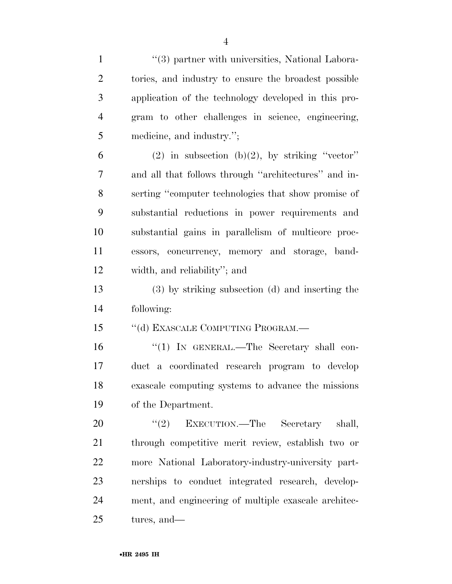| $\mathbf{1}$   | "(3) partner with universities, National Labora-     |
|----------------|------------------------------------------------------|
| $\overline{2}$ | tories, and industry to ensure the broadest possible |
| 3              | application of the technology developed in this pro- |
| $\overline{4}$ | gram to other challenges in science, engineering,    |
| 5              | medicine, and industry.";                            |
| 6              | (2) in subsection (b)(2), by striking "vector"       |
| 7              | and all that follows through "architectures" and in- |
| 8              | serting "computer technologies that show promise of  |
| 9              | substantial reductions in power requirements and     |
| 10             | substantial gains in parallelism of multicore proc-  |
| 11             | essors, concurrency, memory and storage, band-       |
| 12             | width, and reliability"; and                         |
| 13             | (3) by striking subsection (d) and inserting the     |
| 14             | following:                                           |
| 15             | "(d) EXASCALE COMPUTING PROGRAM.-                    |
| 16             | "(1) IN GENERAL.—The Secretary shall con-            |
| 17             | duct a coordinated research program to develop       |
| 18             | exascale computing systems to advance the missions   |
| 19             | of the Department.                                   |
| 20             | "(2) EXECUTION.—The Secretary<br>shall,              |
| 21             | through competitive merit review, establish two or   |
| 22             | more National Laboratory-industry-university part-   |
| 23             | nerships to conduct integrated research, develop-    |
| 24             | ment, and engineering of multiple exascale architec- |
| 25             | tures, and—                                          |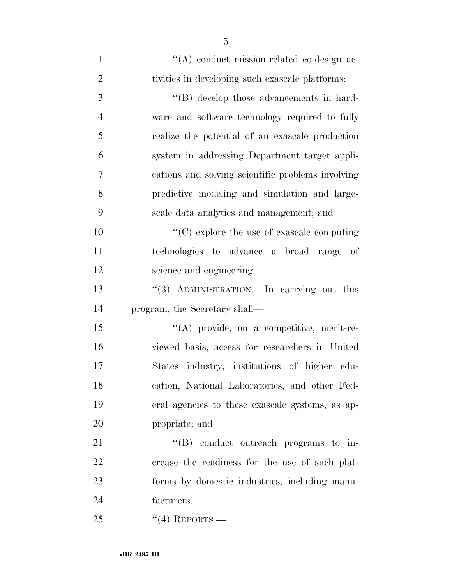| $\mathbf{1}$   | "(A) conduct mission-related co-design ac-        |
|----------------|---------------------------------------------------|
| $\overline{2}$ | tivities in developing such exascale platforms;   |
| 3              | "(B) develop those advancements in hard-          |
| $\overline{4}$ | ware and software technology required to fully    |
| 5              | realize the potential of an exascale production   |
| 6              | system in addressing Department target appli-     |
| $\overline{7}$ | cations and solving scientific problems involving |
| 8              | predictive modeling and simulation and large-     |
| 9              | scale data analytics and management; and          |
| 10             | $\cdot$ (C) explore the use of exascale computing |
| 11             | technologies to advance a broad range of          |
| 12             | science and engineering.                          |
| 13             | "(3) ADMINISTRATION.—In carrying out this         |
| 14             | program, the Secretary shall—                     |
| 15             | "(A) provide, on a competitive, merit-re-         |
| 16             | viewed basis, access for researchers in United    |
| 17             | States industry, institutions of higher edu-      |
| 18             | cation, National Laboratories, and other Fed-     |
| 19             | eral agencies to these exascale systems, as ap-   |
| 20             | propriate; and                                    |
| 21             | $\lq\lq(B)$ conduct outreach programs to in-      |
| 22             | crease the readiness for the use of such plat-    |
| 23             | forms by domestic industries, including manu-     |
| 24             | facturers.                                        |
| 25             | $``(4)$ REPORTS.—                                 |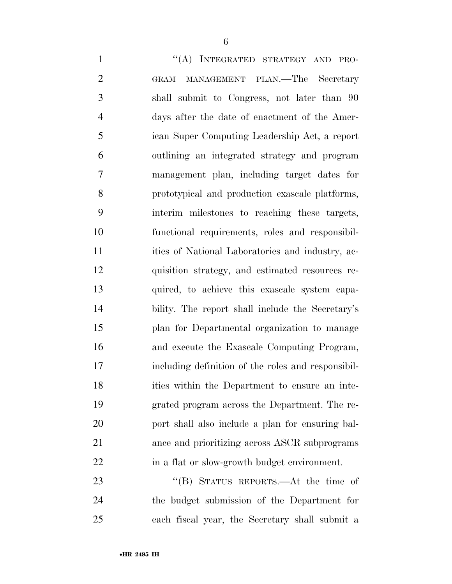1 "(A) INTEGRATED STRATEGY AND PRO- GRAM MANAGEMENT PLAN.—The Secretary shall submit to Congress, not later than 90 days after the date of enactment of the Amer- ican Super Computing Leadership Act, a report outlining an integrated strategy and program management plan, including target dates for prototypical and production exascale platforms, interim milestones to reaching these targets, functional requirements, roles and responsibil-11 ities of National Laboratories and industry, ac- quisition strategy, and estimated resources re- quired, to achieve this exascale system capa- bility. The report shall include the Secretary's plan for Departmental organization to manage and execute the Exascale Computing Program, including definition of the roles and responsibil- ities within the Department to ensure an inte- grated program across the Department. The re- port shall also include a plan for ensuring bal- ance and prioritizing across ASCR subprograms in a flat or slow-growth budget environment.

23 "'(B) STATUS REPORTS.—At the time of the budget submission of the Department for each fiscal year, the Secretary shall submit a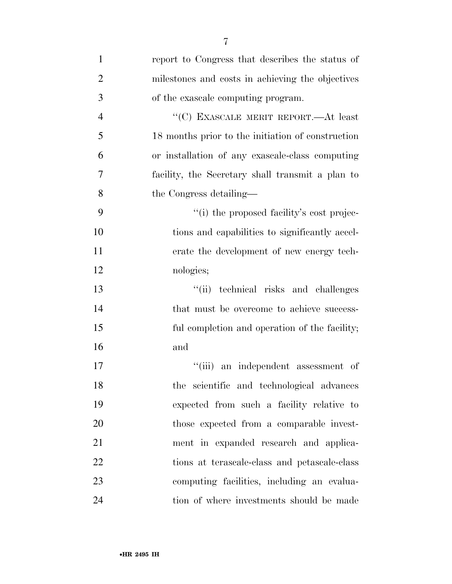| $\mathbf{1}$   | report to Congress that describes the status of   |
|----------------|---------------------------------------------------|
| $\overline{2}$ | milestones and costs in achieving the objectives  |
| 3              | of the exascale computing program.                |
| $\overline{4}$ | "(C) EXASCALE MERIT REPORT.—At least              |
| 5              | 18 months prior to the initiation of construction |
| 6              | or installation of any exascale-class computing   |
| 7              | facility, the Secretary shall transmit a plan to  |
| 8              | the Congress detailing—                           |
| 9              | "(i) the proposed facility's cost projec-         |
| 10             | tions and capabilities to significantly accel-    |
| 11             | erate the development of new energy tech-         |
| 12             | nologies;                                         |
| 13             | technical risks and challenges<br>``(ii)          |
| 14             | that must be overcome to achieve success-         |
| 15             | ful completion and operation of the facility;     |
| 16             | and                                               |
| 17             | ``(iii)<br>an independent assessment of           |
| 18             | the scientific and technological advances         |
| 19             | expected from such a facility relative to         |
| 20             | those expected from a comparable invest-          |
| 21             | ment in expanded research and applica-            |
| 22             | tions at terascale-class and petascale-class      |
| 23             | computing facilities, including an evalua-        |
| 24             | tion of where investments should be made          |